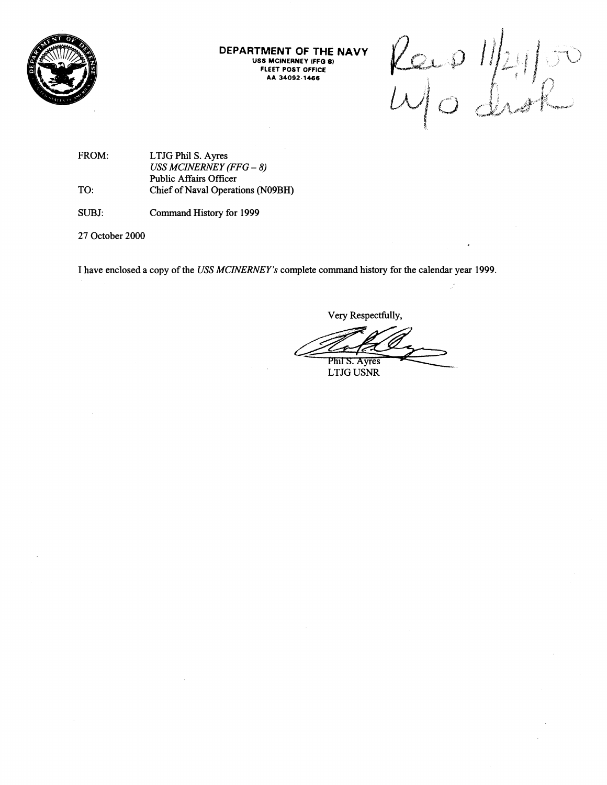

**DEPARTMENT OF THE NAVY USS MCJNERNEY IFF0 8) FLEET POST OFFICE AA 34092 1466** 

 $Kap$   $Ipq$ 

**FROM: LTJG Phil S. Ayres**  *USS MCINERNEY (FFG* - *8)*  **Public Affairs Officer TO: Chief of Naval Operations (N09BH)** 

**SUBJ: Command History for 1999** 

**27 October 2000** 

**I have enclosed a copy of the** *USS MCINERNEY's* **complete command history for the calendar year 1999.** 

**Very Respectfully,** 

mplete command history for the calendar<br>Very Respectfully,<br>Very Respectfully,<br>Phil S. Ayres<br>LTJG USNR

**LTJG USNR**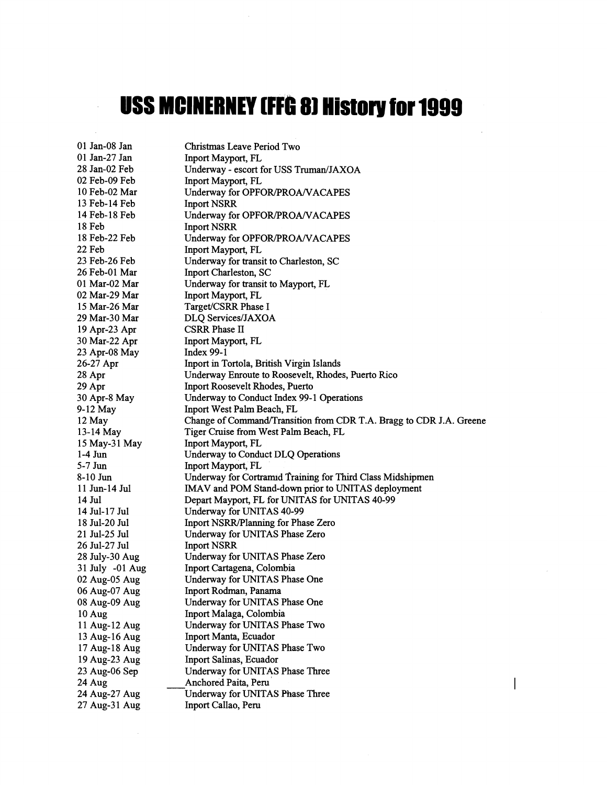## **USS MCINERNEY (FFG 8) History for 1999**

 $\bar{\lambda}$ 

| 01 Jan-08 Jan   | Christmas Leave Period Two                                          |
|-----------------|---------------------------------------------------------------------|
| $01$ Jan-27 Jan | Inport Mayport, FL                                                  |
| 28 Jan-02 Feb   | Underway - escort for USS Truman/JAXOA                              |
| 02 Feb-09 Feb   | Inport Mayport, FL                                                  |
| 10 Feb-02 Mar   | Underway for OPFOR/PROA/VACAPES                                     |
| 13 Feb-14 Feb   | <b>Inport NSRR</b>                                                  |
| 14 Feb-18 Feb   | Underway for OPFOR/PROA/VACAPES                                     |
| 18 Feb          | <b>Inport NSRR</b>                                                  |
| 18 Feb-22 Feb   | Underway for OPFOR/PROA/VACAPES                                     |
| 22 Feb          | Inport Mayport, FL                                                  |
| 23 Feb-26 Feb   | Underway for transit to Charleston, SC                              |
| 26 Feb-01 Mar   | Inport Charleston, SC                                               |
| 01 Mar-02 Mar   | Underway for transit to Mayport, FL                                 |
| 02 Mar-29 Mar   | Inport Mayport, FL                                                  |
| 15 Mar-26 Mar   | Target/CSRR Phase I                                                 |
| 29 Mar-30 Mar   | DLQ Services/JAXOA                                                  |
| 19 Apr-23 Apr   | <b>CSRR Phase II</b>                                                |
| 30 Mar-22 Apr   | Inport Mayport, FL                                                  |
| 23 Apr-08 May   | Index $99-1$                                                        |
| 26-27 Apr       | Inport in Tortola, British Virgin Islands                           |
| 28 Apr          | Underway Enroute to Roosevelt, Rhodes, Puerto Rico                  |
| 29 Apr          | Inport Roosevelt Rhodes, Puerto                                     |
| 30 Apr-8 May    | Underway to Conduct Index 99-1 Operations                           |
| 9-12 May        | Inport West Palm Beach, FL                                          |
| 12 May          | Change of Command/Transition from CDR T.A. Bragg to CDR J.A. Greene |
| 13-14 May       | Tiger Cruise from West Palm Beach, FL                               |
| 15 May-31 May   | Inport Mayport, FL                                                  |
| $1-4$ Jun       | Underway to Conduct DLQ Operations                                  |
| $5-7$ Jun       | Inport Mayport, FL                                                  |
| $8-10$ Jun      | Underway for Cortramid Training for Third Class Midshipmen          |
| 11 Jun-14 Jul   | IMAV and POM Stand-down prior to UNITAS deployment                  |
| 14 Jul          | Depart Mayport, FL for UNITAS for UNITAS 40-99                      |
| 14 Jul-17 Jul   | Underway for UNITAS 40-99                                           |
| 18 Jul-20 Jul   | Inport NSRR/Planning for Phase Zero                                 |
| 21 Jul-25 Jul   | Underway for UNITAS Phase Zero                                      |
| 26 Jul-27 Jul   | <b>Inport NSRR</b>                                                  |
| 28 July-30 Aug  | Underway for UNITAS Phase Zero                                      |
| 31 July -01 Aug | Inport Cartagena, Colombia                                          |
| 02 Aug-05 Aug   | Underway for UNITAS Phase One                                       |
| 06 Aug-07 Aug   | Inport Rodman, Panama                                               |
| 08 Aug-09 Aug   | Underway for UNITAS Phase One                                       |
| 10 Aug          | Inport Malaga, Colombia                                             |
| 11 Aug-12 Aug   | Underway for UNITAS Phase Two                                       |
| 13 Aug-16 Aug   | Inport Manta, Ecuador                                               |
| 17 Aug-18 Aug   | Underway for UNITAS Phase Two                                       |
| 19 Aug-23 Aug   | Inport Salinas, Ecuador                                             |
| 23 Aug-06 Sep   | Underway for UNITAS Phase Three                                     |
| 24 Aug          | Anchored Paita, Peru                                                |
| 24 Aug-27 Aug   | Underway for UNITAS Phase Three                                     |
| 27 Aug-31 Aug   | Inport Callao, Peru                                                 |

 $\overline{\phantom{a}}$